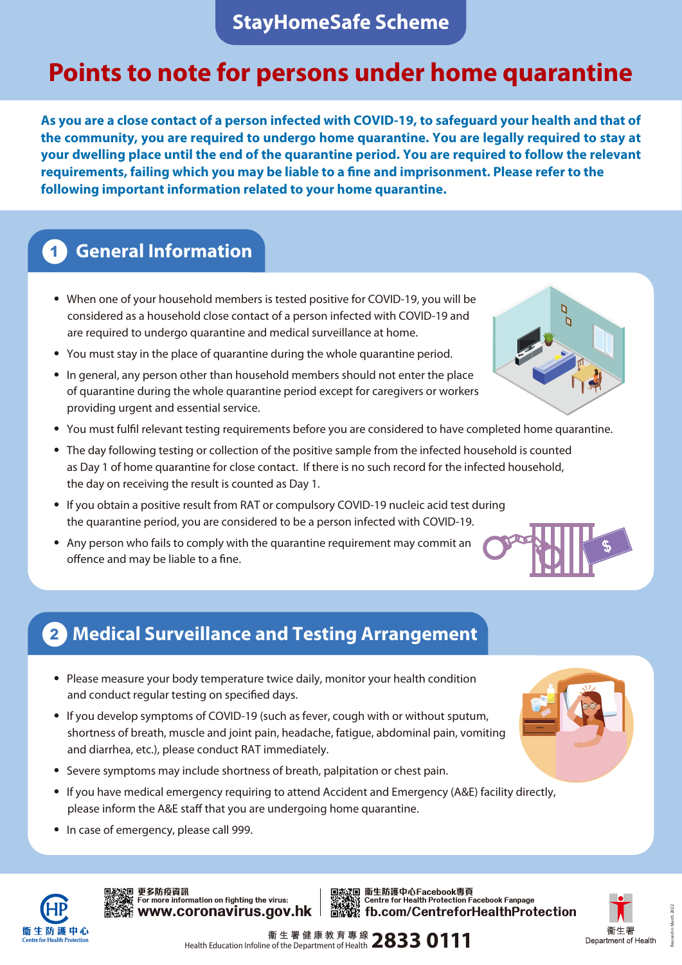# **Points to note for persons under home quarantine**

**As you are a close contact of a person infected with COVID-19, to safeguard your health and that of the community, you are required to undergo home quarantine. You are legally required to stay at your dwelling place until the end of the quarantine period. You are required to follow the relevant requirements, failing which you may be liable to a fine and imprisonment. Please refer to the following important information related to your home quarantine.**

## **1 General Information**

- ‧ When one of your household members is tested positive for COVID-19, you will be considered as a household close contact of a person infected with COVID-19 and are required to undergo quarantine and medical surveillance at home.
- ‧ You must stay in the place of quarantine during the whole quarantine period.
- ‧ In general, any person other than household members should not enter the place of quarantine during the whole quarantine period except for caregivers or workers providing urgent and essential service.
- ‧ You must fulfil relevant testing requirements before you are considered to have completed home quarantine.
- ‧ The day following testing or collection of the positive sample from the infected household is counted as Day 1 of home quarantine for close contact. If there is no such record for the infected household, the day on receiving the result is counted as Day 1.
- ‧ If you obtain a positive result from RAT or compulsory COVID-19 nucleic acid test during the quarantine period, you are considered to be a person infected with COVID-19.
- ‧ Any person who fails to comply with the quarantine requirement may commit an offence and may be liable to a fine.

### **2 Medical Surveillance and Testing Arrangement**

- ‧ Please measure your body temperature twice daily, monitor your health condition and conduct regular testing on specified days.
- ‧ If you develop symptoms of COVID-19 (such as fever, cough with or without sputum, shortness of breath, muscle and joint pain, headache, fatigue, abdominal pain, vomiting and diarrhea, etc.), please conduct RAT immediately.
- ‧ Severe symptoms may include shortness of breath, palpitation or chest pain.
- ‧ If you have medical emergency requiring to attend Accident and Emergency (A&E) facility directly, please inform the A&E staff that you are undergoing home quarantine.
- ‧ In case of emergency, please call 999.



更多防疫資訊<br>For more information on fighting the virus: Centre for Health Protection Facebook Fanpage **We for more information on fighting the virus:**<br>**WWW.COLOUSTICS.GOV.hk 更多防疫資訊**





\$



Health Education Infoline of the Department of Health **2833 0111** 

Revised in March 2022

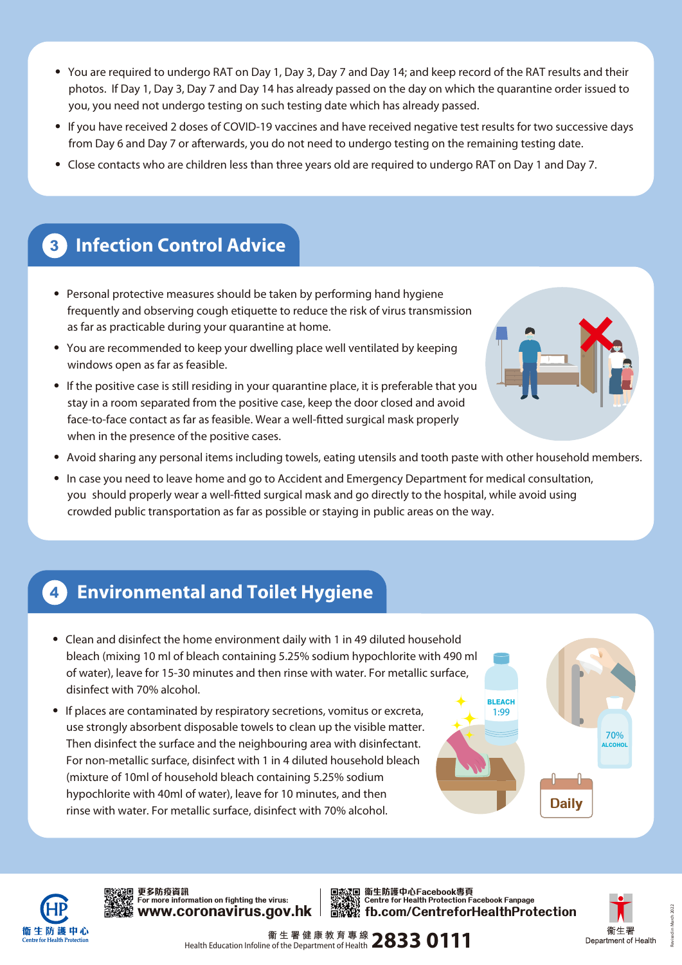- ‧ You are required to undergo RAT on Day 1, Day 3, Day 7 and Day 14; and keep record of the RAT results and their photos. If Day 1, Day 3, Day 7 and Day 14 has already passed on the day on which the quarantine order issued to you, you need not undergo testing on such testing date which has already passed.
- ‧ If you have received 2 doses of COVID-19 vaccines and have received negative test results for two successive days from Day 6 and Day 7 or afterwards, you do not need to undergo testing on the remaining testing date.
- ‧ Close contacts who are children less than three years old are required to undergo RAT on Day 1 and Day 7.

### **3 Infection Control Advice**

- Personal protective measures should be taken by performing hand hygiene frequently and observing cough etiquette to reduce the risk of virus transmission as far as practicable during your quarantine at home.
- ‧ You are recommended to keep your dwelling place well ventilated by keeping windows open as far as feasible.
- If the positive case is still residing in your quarantine place, it is preferable that you stay in a room separated from the positive case, keep the door closed and avoid face-to-face contact as far as feasible. Wear a well-fitted surgical mask properly when in the presence of the positive cases.



- ‧ Avoid sharing any personal items including towels, eating utensils and tooth paste with other household members.
- ‧ In case you need to leave home and go to Accident and Emergency Department for medical consultation, you should properly wear a well-fitted surgical mask and go directly to the hospital, while avoid using crowded public transportation as far as possible or staying in public areas on the way.

#### **4 Environmental and Toilet Hygiene**

- ‧ Clean and disinfect the home environment daily with 1 in 49 diluted household bleach (mixing 10 ml of bleach containing 5.25% sodium hypochlorite with 490 ml of water), leave for 15-30 minutes and then rinse with water. For metallic surface, disinfect with 70% alcohol.
- If places are contaminated by respiratory secretions, vomitus or excreta, use strongly absorbent disposable towels to clean up the visible matter. Then disinfect the surface and the neighbouring area with disinfectant. For non-metallic surface, disinfect with 1 in 4 diluted household bleach (mixture of 10ml of household bleach containing 5.25% sodium hypochlorite with 40ml of water), leave for 10 minutes, and then rinse with water. For metallic surface, disinfect with 70% alcohol.





For more information on fighting the virus:<br>WWW.CO**ronavirus.gov.hk 更多防疫資訊**

**fb.com/CentreforHealthProtection** 更多防疫資訊<br>For more information on fighting the virus: Centre for Health Protection Facebook Fanpage



Revised in March 2022

Health Education Infoline of the Department of Health **2833 0111**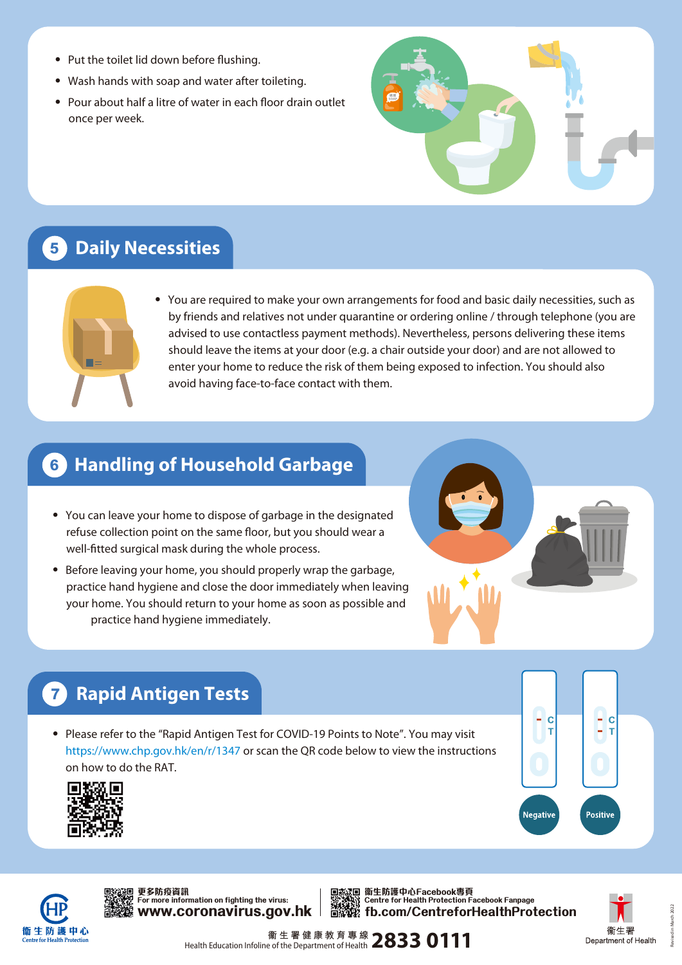- ‧ Put the toilet lid down before flushing.
- ‧ Wash hands with soap and water after toileting.
- ‧ Pour about half a litre of water in each floor drain outlet once per week.



### **5 Daily Necessities**



‧ You are required to make your own arrangements for food and basic daily necessities, such as by friends and relatives not under quarantine or ordering online / through telephone (you are advised to use contactless payment methods). Nevertheless, persons delivering these items should leave the items at your door (e.g. a chair outside your door) and are not allowed to enter your home to reduce the risk of them being exposed to infection. You should also avoid having face-to-face contact with them.

### **6 Handling of Household Garbage**

- ‧ You can leave your home to dispose of garbage in the designated refuse collection point on the same floor, but you should wear a well-fitted surgical mask during the whole process.
- ‧ Before leaving your home, you should properly wrap the garbage, practice hand hygiene and close the door immediately when leaving your home. You should return to your home as soon as possible and practice hand hygiene immediately.



# **7 Rapid Antigen Tests**

• Please refer to the "Rapid Antigen Test for COVID-19 Points to Note". You may visit https://www.chp.gov.hk/en/r/1347 or scan the QR code below to view the instructions on how to do the RAT.





**www.coronavirus.gov.hk 更多防疫資訊**

更多防疫資訊<br>For more information on fighting the virus: Centre for Health Protection Facebook Fanpage **fb.com/CentreforHealthProtection** ΠÑ



Health Education Infoline of the Department of Health **2833 0111**